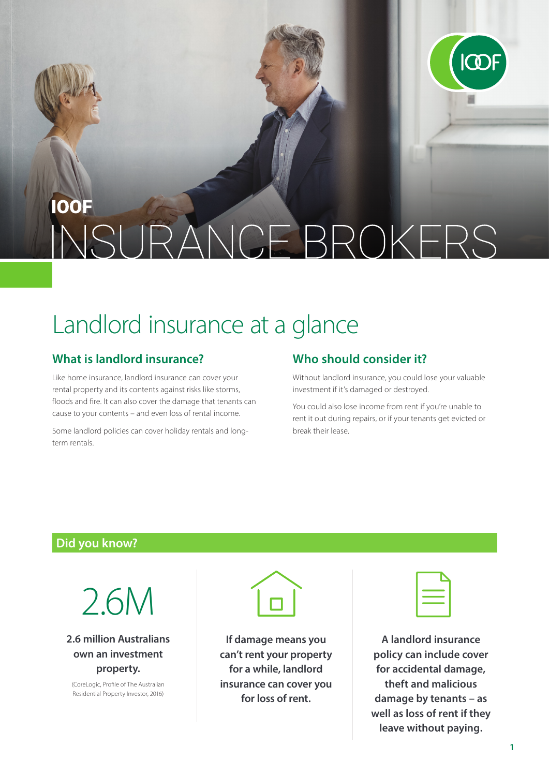

## **100F** NGE BROKERS  $|C|$

# Landlord insurance at a glance

#### **What is landlord insurance?**

Like home insurance, landlord insurance can cover your rental property and its contents against risks like storms, floods and fire. It can also cover the damage that tenants can cause to your contents – and even loss of rental income.

Some landlord policies can cover holiday rentals and longterm rentals.

### **Who should consider it?**

Without landlord insurance, you could lose your valuable investment if it's damaged or destroyed.

You could also lose income from rent if you're unable to rent it out during repairs, or if your tenants get evicted or break their lease.

#### **Did you know?**



**2.6 million Australians own an investment property.**

(CoreLogic, Profile of The Australian Residential Property Investor, 2016)



**If damage means you can't rent your property for a while, landlord insurance can cover you for loss of rent.**

**A landlord insurance policy can include cover for accidental damage, theft and malicious damage by tenants – as well as loss of rent if they leave without paying.**